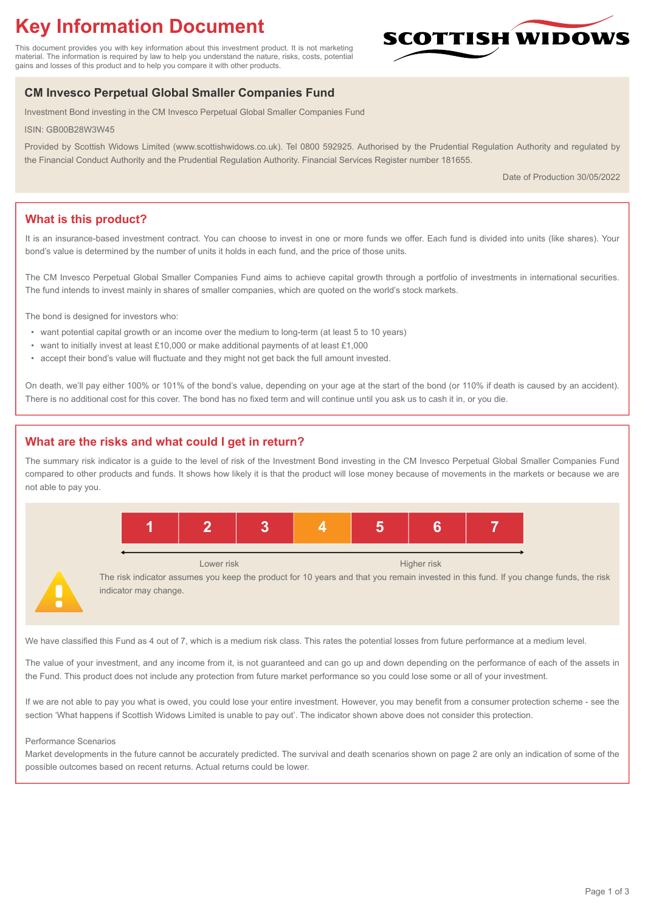# **Key Information Document**

This document provides you with key information about this investment product. It is not marketing material. The information is required by law to help you understand the nature, risks, costs, potential gains and losses of this product and to help you compare it with other products.

# **SCOTTISH WIDOW**

# **CM Invesco Perpetual Global Smaller Companies Fund**

Investment Bond investing in the CM Invesco Perpetual Global Smaller Companies Fund

ISIN: GB00B28W3W45

Provided by Scottish Widows Limited (www.scottishwidows.co.uk). Tel 0800 592925. Authorised by the Prudential Regulation Authority and regulated by the Financial Conduct Authority and the Prudential Regulation Authority. Financial Services Register number 181655.

Date of Production 30/05/2022

# **What is this product?**

It is an insurance-based investment contract. You can choose to invest in one or more funds we offer. Each fund is divided into units (like shares). Your bond's value is determined by the number of units it holds in each fund, and the price of those units.

The CM Invesco Perpetual Global Smaller Companies Fund aims to achieve capital growth through a portfolio of investments in international securities. The fund intends to invest mainly in shares of smaller companies, which are quoted on the world's stock markets.

The bond is designed for investors who:

- want potential capital growth or an income over the medium to long-term (at least 5 to 10 years)
- want to initially invest at least £10,000 or make additional payments of at least £1,000
- accept their bond's value will fluctuate and they might not get back the full amount invested.

On death, we'll pay either 100% or 101% of the bond's value, depending on your age at the start of the bond (or 110% if death is caused by an accident). There is no additional cost for this cover. The bond has no fixed term and will continue until you ask us to cash it in, or you die.

# **What are the risks and what could I get in return?**

The summary risk indicator is a guide to the level of risk of the Investment Bond investing in the CM Invesco Perpetual Global Smaller Companies Fund compared to other products and funds. It shows how likely it is that the product will lose money because of movements in the markets or because we are not able to pay you.



The risk indicator assumes you keep the product for 10 years and that you remain invested in this fund. If you change funds, the risk indicator may change.

We have classified this Fund as 4 out of 7, which is a medium risk class. This rates the potential losses from future performance at a medium level.

The value of your investment, and any income from it, is not guaranteed and can go up and down depending on the performance of each of the assets in the Fund. This product does not include any protection from future market performance so you could lose some or all of your investment.

If we are not able to pay you what is owed, you could lose your entire investment. However, you may benefit from a consumer protection scheme - see the section 'What happens if Scottish Widows Limited is unable to pay out'. The indicator shown above does not consider this protection.

#### Performance Scenarios

Market developments in the future cannot be accurately predicted. The survival and death scenarios shown on page 2 are only an indication of some of the possible outcomes based on recent returns. Actual returns could be lower.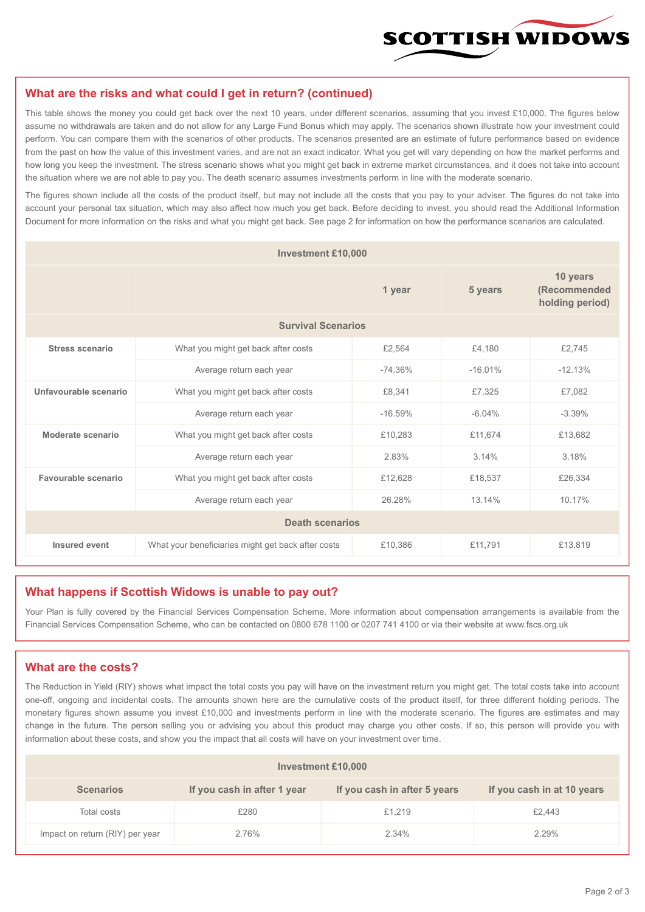

#### **What are the risks and what could I get in return? (continued)**

This table shows the money you could get back over the next 10 years, under different scenarios, assuming that you invest £10,000. The figures below assume no withdrawals are taken and do not allow for any Large Fund Bonus which may apply. The scenarios shown illustrate how your investment could perform. You can compare them with the scenarios of other products. The scenarios presented are an estimate of future performance based on evidence from the past on how the value of this investment varies, and are not an exact indicator. What you get will vary depending on how the market performs and how long you keep the investment. The stress scenario shows what you might get back in extreme market circumstances, and it does not take into account the situation where we are not able to pay you. The death scenario assumes investments perform in line with the moderate scenario.

The figures shown include all the costs of the product itself, but may not include all the costs that you pay to your adviser. The figures do not take into account your personal tax situation, which may also affect how much you get back. Before deciding to invest, you should read the Additional Information Document for more information on the risks and what you might get back. See page 2 for information on how the performance scenarios are calculated.

| <b>Investment £10,000</b> |                                                               |           |           |                                             |  |  |
|---------------------------|---------------------------------------------------------------|-----------|-----------|---------------------------------------------|--|--|
|                           |                                                               | 1 year    |           | 10 years<br>(Recommended<br>holding period) |  |  |
| <b>Survival Scenarios</b> |                                                               |           |           |                                             |  |  |
| <b>Stress scenario</b>    | What you might get back after costs<br>£2,564                 |           | £4.180    | £2,745                                      |  |  |
|                           | Average return each year                                      | $-74.36%$ | $-16.01%$ | $-12.13%$                                   |  |  |
| Unfavourable scenario     | What you might get back after costs<br>£8,341                 |           | £7,325    | £7,082                                      |  |  |
|                           | Average return each year                                      | $-16.59%$ | $-6.04%$  | $-3.39%$                                    |  |  |
| Moderate scenario         | What you might get back after costs                           | £10,283   | £11,674   | £13,682                                     |  |  |
|                           | Average return each year                                      | 2.83%     | 3.14%     | 3.18%                                       |  |  |
| Favourable scenario       | What you might get back after costs                           | £12,628   | £18,537   | £26,334                                     |  |  |
| Average return each year  |                                                               | 26.28%    | 13.14%    | 10.17%                                      |  |  |
| <b>Death scenarios</b>    |                                                               |           |           |                                             |  |  |
| Insured event             | What your beneficiaries might get back after costs<br>£10,386 |           | £11,791   | £13,819                                     |  |  |

#### **What happens if Scottish Widows is unable to pay out?**

Your Plan is fully covered by the Financial Services Compensation Scheme. More information about compensation arrangements is available from the Financial Services Compensation Scheme, who can be contacted on 0800 678 1100 or 0207 741 4100 or via their website at www.fscs.org.uk

# **What are the costs?**

The Reduction in Yield (RIY) shows what impact the total costs you pay will have on the investment return you might get. The total costs take into account one-off, ongoing and incidental costs. The amounts shown here are the cumulative costs of the product itself, for three different holding periods. The monetary figures shown assume you invest £10,000 and investments perform in line with the moderate scenario. The figures are estimates and may change in the future. The person selling you or advising you about this product may charge you other costs. If so, this person will provide you with information about these costs, and show you the impact that all costs will have on your investment over time.

| Investment £10,000              |                             |                              |                            |  |  |  |
|---------------------------------|-----------------------------|------------------------------|----------------------------|--|--|--|
| <b>Scenarios</b>                | If you cash in after 1 year | If you cash in after 5 years | If you cash in at 10 years |  |  |  |
| Total costs                     | £280                        | £1,219                       | £2,443                     |  |  |  |
| Impact on return (RIY) per year | 2.76%                       | 2.34%                        | 2.29%                      |  |  |  |